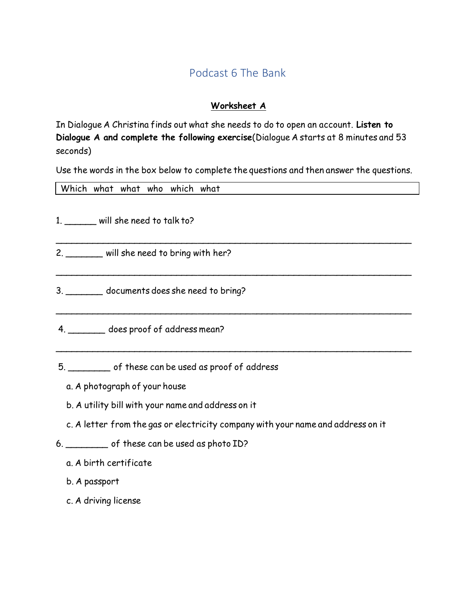# Podcast 6 The Bank

## **Worksheet A**

In Dialogue A Christina finds out what she needs to do to open an account. **Listen to Dialogue A and complete the following exercise**(Dialogue A starts at 8 minutes and 53 seconds)

Use the words in the box below to complete the questions and then answer the questions.

|               | Which what what who which what   |  |
|---------------|----------------------------------|--|
|               |                                  |  |
|               | 1. will she need to talk to?     |  |
|               |                                  |  |
|               |                                  |  |
| $\mathcal{P}$ | will she need to bring with her? |  |

 $\overline{\phantom{a}}$ 

 $\overline{\phantom{a}}$ 

 $\sim$  . The contract of the contract of the contract of the contract of the contract of the contract of the contract of the contract of the contract of the contract of the contract of the contract of the contract of the co

- 3. \_\_\_\_\_\_\_ documents does she need to bring?
- 4. \_\_\_\_\_\_\_ does proof of address mean?
- 5. \_\_\_\_\_\_\_\_ of these can be used as proof of address
	- a. A photograph of your house
	- b. A utility bill with your name and address on it
	- c. A letter from the gas or electricity company with your name and address on it
- 6. \_\_\_\_\_\_\_\_ of these can be used as photo ID?
	- a. A birth certificate
	- b. A passport
	- c. A driving license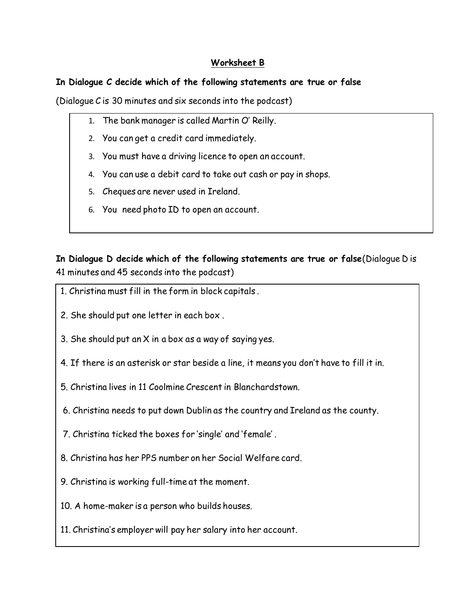### **Worksheet B**

#### **In Dialogue C decide which of the following statements are true or false**

(Dialogue C is 30 minutes and six seconds into the podcast)

- 1. The bank manager is called Martin O' Reilly.
- 2. You can get a credit card immediately.
- 3. You must have a driving licence to open an account.
- 4. You can use a debit card to take out cash or pay in shops.
- 5. Cheques are never used in Ireland.
- 6. You need photo ID to open an account.

**In Dialogue D decide which of the following statements are true or false**(Dialogue D is 41 minutes and 45 seconds into the podcast)

- 1. Christina must fill in the form in block capitals .
- 2. She should put one letter in each box .
- 3. She should put an X in a box as a way of saying yes.
- 4. If there is an asterisk or star beside a line, it means you don't have to fill it in.
- 5. Christina lives in 11 Coolmine Crescent in Blanchardstown.
- 6. Christina needs to put down Dublin as the country and Ireland as the county.
- 7. Christina ticked the boxes for 'single' and 'female' .
- 8. Christina has her PPS number on her Social Welfare card.
- 9. Christina is working full-time at the moment.
- 10. A home-maker is a person who builds houses.
- 11. Christina's employer will pay her salary into her account.